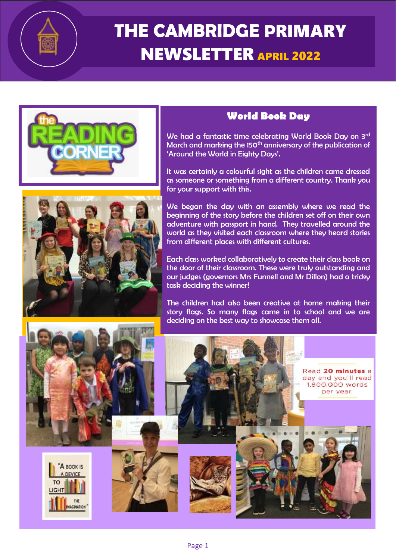

# **THE CAMBRIDGE P**RIMARY NEWSLETTER APRIL <sup>2022</sup>



### **World Book Day**

We had a fantastic time celebrating World Book Day on 3rd March and marking the 150<sup>th</sup> anniversary of the publication of 'Around the World in Eighty Days'.

It was certainly a colourful sight as the children came dressed as someone or something from a different country. Thank you for your support with this.

We began the day with an assembly where we read the beginning of the story before the children set off on their own adventure with passport in hand. They travelled around the world as they visited each classroom where they heard stories from different places with different cultures.

Each class worked collaboratively to create their class book on the door of their classroom. These were truly outstanding and our judges (governors Mrs Funnell and Mr Dillon) had a tricky task deciding the winner!

The children had also been creative at home making their story flags. So many flags came in to school and we are deciding on the best way to showcase them all.